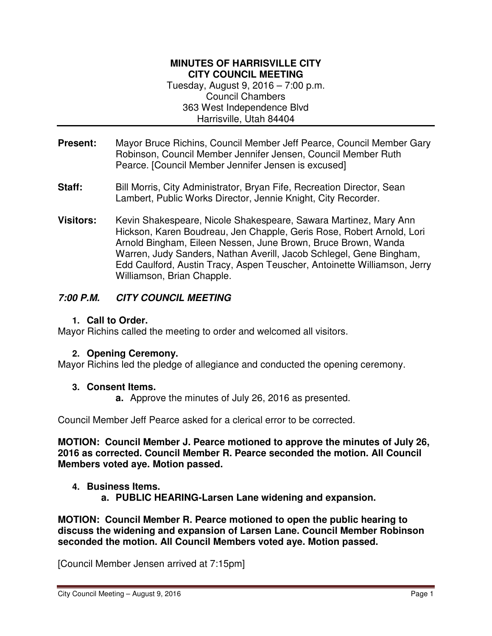#### **MINUTES OF HARRISVILLE CITY CITY COUNCIL MEETING**  Tuesday, August 9, 2016 – 7:00 p.m.

Council Chambers 363 West Independence Blvd Harrisville, Utah 84404

- **Present:** Mayor Bruce Richins, Council Member Jeff Pearce, Council Member Gary Robinson, Council Member Jennifer Jensen, Council Member Ruth Pearce. [Council Member Jennifer Jensen is excused]
- **Staff:** Bill Morris, City Administrator, Bryan Fife, Recreation Director, Sean Lambert, Public Works Director, Jennie Knight, City Recorder.
- **Visitors:** Kevin Shakespeare, Nicole Shakespeare, Sawara Martinez, Mary Ann Hickson, Karen Boudreau, Jen Chapple, Geris Rose, Robert Arnold, Lori Arnold Bingham, Eileen Nessen, June Brown, Bruce Brown, Wanda Warren, Judy Sanders, Nathan Averill, Jacob Schlegel, Gene Bingham, Edd Caulford, Austin Tracy, Aspen Teuscher, Antoinette Williamson, Jerry Williamson, Brian Chapple.

# **7:00 P.M. CITY COUNCIL MEETING**

**1. Call to Order.**

Mayor Richins called the meeting to order and welcomed all visitors.

# **2. Opening Ceremony.**

Mayor Richins led the pledge of allegiance and conducted the opening ceremony.

### **3. Consent Items.**

**a.** Approve the minutes of July 26, 2016 as presented.

Council Member Jeff Pearce asked for a clerical error to be corrected.

**MOTION: Council Member J. Pearce motioned to approve the minutes of July 26, 2016 as corrected. Council Member R. Pearce seconded the motion. All Council Members voted aye. Motion passed.** 

### **4. Business Items.**

**a. PUBLIC HEARING-Larsen Lane widening and expansion.** 

**MOTION: Council Member R. Pearce motioned to open the public hearing to discuss the widening and expansion of Larsen Lane. Council Member Robinson seconded the motion. All Council Members voted aye. Motion passed.** 

[Council Member Jensen arrived at 7:15pm]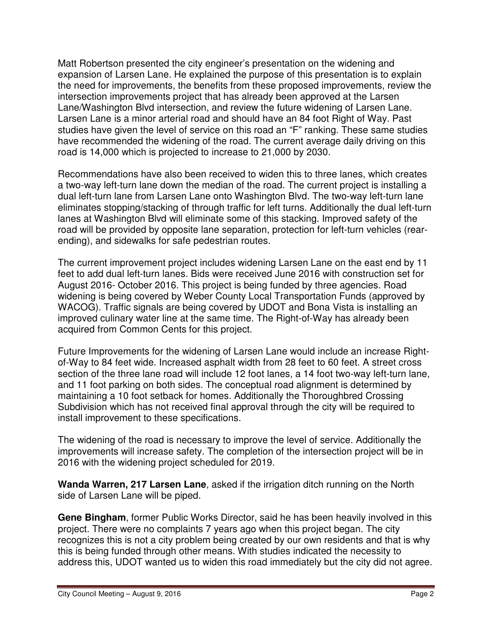Matt Robertson presented the city engineer's presentation on the widening and expansion of Larsen Lane. He explained the purpose of this presentation is to explain the need for improvements, the benefits from these proposed improvements, review the intersection improvements project that has already been approved at the Larsen Lane/Washington Blvd intersection, and review the future widening of Larsen Lane. Larsen Lane is a minor arterial road and should have an 84 foot Right of Way. Past studies have given the level of service on this road an "F" ranking. These same studies have recommended the widening of the road. The current average daily driving on this road is 14,000 which is projected to increase to 21,000 by 2030.

Recommendations have also been received to widen this to three lanes, which creates a two-way left-turn lane down the median of the road. The current project is installing a dual left-turn lane from Larsen Lane onto Washington Blvd. The two-way left-turn lane eliminates stopping/stacking of through traffic for left turns. Additionally the dual left-turn lanes at Washington Blvd will eliminate some of this stacking. Improved safety of the road will be provided by opposite lane separation, protection for left-turn vehicles (rearending), and sidewalks for safe pedestrian routes.

The current improvement project includes widening Larsen Lane on the east end by 11 feet to add dual left-turn lanes. Bids were received June 2016 with construction set for August 2016- October 2016. This project is being funded by three agencies. Road widening is being covered by Weber County Local Transportation Funds (approved by WACOG). Traffic signals are being covered by UDOT and Bona Vista is installing an improved culinary water line at the same time. The Right-of-Way has already been acquired from Common Cents for this project.

Future Improvements for the widening of Larsen Lane would include an increase Rightof-Way to 84 feet wide. Increased asphalt width from 28 feet to 60 feet. A street cross section of the three lane road will include 12 foot lanes, a 14 foot two-way left-turn lane, and 11 foot parking on both sides. The conceptual road alignment is determined by maintaining a 10 foot setback for homes. Additionally the Thoroughbred Crossing Subdivision which has not received final approval through the city will be required to install improvement to these specifications.

The widening of the road is necessary to improve the level of service. Additionally the improvements will increase safety. The completion of the intersection project will be in 2016 with the widening project scheduled for 2019.

**Wanda Warren, 217 Larsen Lane**, asked if the irrigation ditch running on the North side of Larsen Lane will be piped.

**Gene Bingham**, former Public Works Director, said he has been heavily involved in this project. There were no complaints 7 years ago when this project began. The city recognizes this is not a city problem being created by our own residents and that is why this is being funded through other means. With studies indicated the necessity to address this, UDOT wanted us to widen this road immediately but the city did not agree.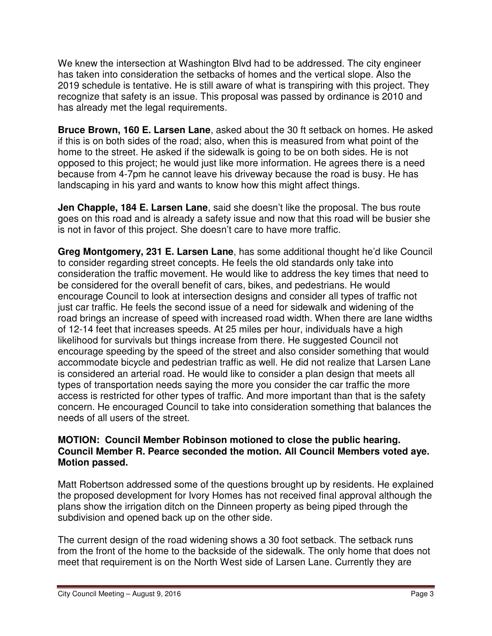We knew the intersection at Washington Blvd had to be addressed. The city engineer has taken into consideration the setbacks of homes and the vertical slope. Also the 2019 schedule is tentative. He is still aware of what is transpiring with this project. They recognize that safety is an issue. This proposal was passed by ordinance is 2010 and has already met the legal requirements.

**Bruce Brown, 160 E. Larsen Lane**, asked about the 30 ft setback on homes. He asked if this is on both sides of the road; also, when this is measured from what point of the home to the street. He asked if the sidewalk is going to be on both sides. He is not opposed to this project; he would just like more information. He agrees there is a need because from 4-7pm he cannot leave his driveway because the road is busy. He has landscaping in his yard and wants to know how this might affect things.

**Jen Chapple, 184 E. Larsen Lane**, said she doesn't like the proposal. The bus route goes on this road and is already a safety issue and now that this road will be busier she is not in favor of this project. She doesn't care to have more traffic.

**Greg Montgomery, 231 E. Larsen Lane**, has some additional thought he'd like Council to consider regarding street concepts. He feels the old standards only take into consideration the traffic movement. He would like to address the key times that need to be considered for the overall benefit of cars, bikes, and pedestrians. He would encourage Council to look at intersection designs and consider all types of traffic not just car traffic. He feels the second issue of a need for sidewalk and widening of the road brings an increase of speed with increased road width. When there are lane widths of 12-14 feet that increases speeds. At 25 miles per hour, individuals have a high likelihood for survivals but things increase from there. He suggested Council not encourage speeding by the speed of the street and also consider something that would accommodate bicycle and pedestrian traffic as well. He did not realize that Larsen Lane is considered an arterial road. He would like to consider a plan design that meets all types of transportation needs saying the more you consider the car traffic the more access is restricted for other types of traffic. And more important than that is the safety concern. He encouraged Council to take into consideration something that balances the needs of all users of the street.

### **MOTION: Council Member Robinson motioned to close the public hearing. Council Member R. Pearce seconded the motion. All Council Members voted aye. Motion passed.**

Matt Robertson addressed some of the questions brought up by residents. He explained the proposed development for Ivory Homes has not received final approval although the plans show the irrigation ditch on the Dinneen property as being piped through the subdivision and opened back up on the other side.

The current design of the road widening shows a 30 foot setback. The setback runs from the front of the home to the backside of the sidewalk. The only home that does not meet that requirement is on the North West side of Larsen Lane. Currently they are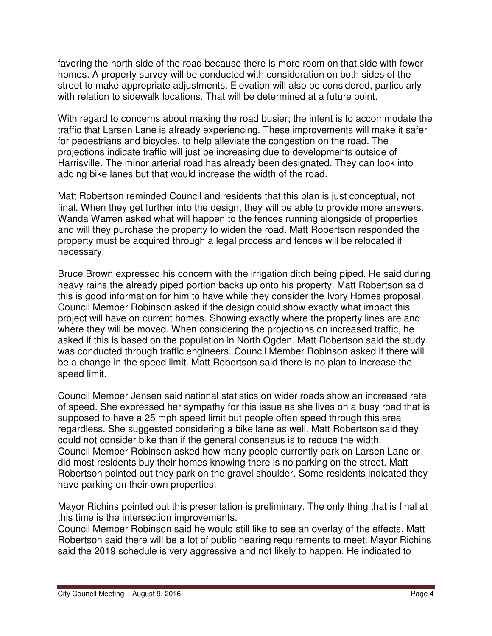favoring the north side of the road because there is more room on that side with fewer homes. A property survey will be conducted with consideration on both sides of the street to make appropriate adjustments. Elevation will also be considered, particularly with relation to sidewalk locations. That will be determined at a future point.

With regard to concerns about making the road busier; the intent is to accommodate the traffic that Larsen Lane is already experiencing. These improvements will make it safer for pedestrians and bicycles, to help alleviate the congestion on the road. The projections indicate traffic will just be increasing due to developments outside of Harrisville. The minor arterial road has already been designated. They can look into adding bike lanes but that would increase the width of the road.

Matt Robertson reminded Council and residents that this plan is just conceptual, not final. When they get further into the design, they will be able to provide more answers. Wanda Warren asked what will happen to the fences running alongside of properties and will they purchase the property to widen the road. Matt Robertson responded the property must be acquired through a legal process and fences will be relocated if necessary.

Bruce Brown expressed his concern with the irrigation ditch being piped. He said during heavy rains the already piped portion backs up onto his property. Matt Robertson said this is good information for him to have while they consider the Ivory Homes proposal. Council Member Robinson asked if the design could show exactly what impact this project will have on current homes. Showing exactly where the property lines are and where they will be moved. When considering the projections on increased traffic, he asked if this is based on the population in North Ogden. Matt Robertson said the study was conducted through traffic engineers. Council Member Robinson asked if there will be a change in the speed limit. Matt Robertson said there is no plan to increase the speed limit.

Council Member Jensen said national statistics on wider roads show an increased rate of speed. She expressed her sympathy for this issue as she lives on a busy road that is supposed to have a 25 mph speed limit but people often speed through this area regardless. She suggested considering a bike lane as well. Matt Robertson said they could not consider bike than if the general consensus is to reduce the width. Council Member Robinson asked how many people currently park on Larsen Lane or did most residents buy their homes knowing there is no parking on the street. Matt Robertson pointed out they park on the gravel shoulder. Some residents indicated they have parking on their own properties.

Mayor Richins pointed out this presentation is preliminary. The only thing that is final at this time is the intersection improvements.

Council Member Robinson said he would still like to see an overlay of the effects. Matt Robertson said there will be a lot of public hearing requirements to meet. Mayor Richins said the 2019 schedule is very aggressive and not likely to happen. He indicated to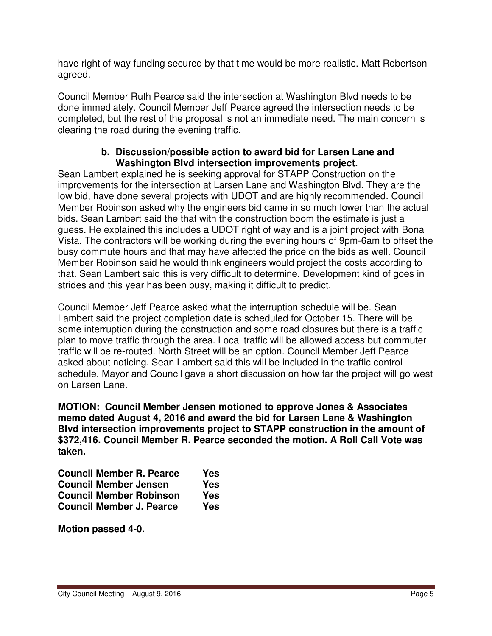have right of way funding secured by that time would be more realistic. Matt Robertson agreed.

Council Member Ruth Pearce said the intersection at Washington Blvd needs to be done immediately. Council Member Jeff Pearce agreed the intersection needs to be completed, but the rest of the proposal is not an immediate need. The main concern is clearing the road during the evening traffic.

### **b. Discussion/possible action to award bid for Larsen Lane and Washington Blvd intersection improvements project.**

Sean Lambert explained he is seeking approval for STAPP Construction on the improvements for the intersection at Larsen Lane and Washington Blvd. They are the low bid, have done several projects with UDOT and are highly recommended. Council Member Robinson asked why the engineers bid came in so much lower than the actual bids. Sean Lambert said the that with the construction boom the estimate is just a guess. He explained this includes a UDOT right of way and is a joint project with Bona Vista. The contractors will be working during the evening hours of 9pm-6am to offset the busy commute hours and that may have affected the price on the bids as well. Council Member Robinson said he would think engineers would project the costs according to that. Sean Lambert said this is very difficult to determine. Development kind of goes in strides and this year has been busy, making it difficult to predict.

Council Member Jeff Pearce asked what the interruption schedule will be. Sean Lambert said the project completion date is scheduled for October 15. There will be some interruption during the construction and some road closures but there is a traffic plan to move traffic through the area. Local traffic will be allowed access but commuter traffic will be re-routed. North Street will be an option. Council Member Jeff Pearce asked about noticing. Sean Lambert said this will be included in the traffic control schedule. Mayor and Council gave a short discussion on how far the project will go west on Larsen Lane.

**MOTION: Council Member Jensen motioned to approve Jones & Associates memo dated August 4, 2016 and award the bid for Larsen Lane & Washington Blvd intersection improvements project to STAPP construction in the amount of \$372,416. Council Member R. Pearce seconded the motion. A Roll Call Vote was taken.** 

| <b>Council Member R. Pearce</b> | Yes |
|---------------------------------|-----|
| <b>Council Member Jensen</b>    | Yes |
| <b>Council Member Robinson</b>  | Yes |
| <b>Council Member J. Pearce</b> | Yes |

**Motion passed 4-0.**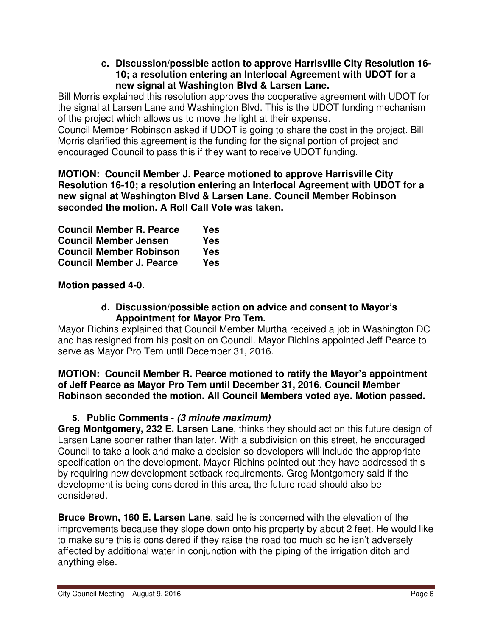#### **c. Discussion/possible action to approve Harrisville City Resolution 16- 10; a resolution entering an Interlocal Agreement with UDOT for a new signal at Washington Blvd & Larsen Lane.**

Bill Morris explained this resolution approves the cooperative agreement with UDOT for the signal at Larsen Lane and Washington Blvd. This is the UDOT funding mechanism of the project which allows us to move the light at their expense.

Council Member Robinson asked if UDOT is going to share the cost in the project. Bill Morris clarified this agreement is the funding for the signal portion of project and encouraged Council to pass this if they want to receive UDOT funding.

**MOTION: Council Member J. Pearce motioned to approve Harrisville City Resolution 16-10; a resolution entering an Interlocal Agreement with UDOT for a new signal at Washington Blvd & Larsen Lane. Council Member Robinson seconded the motion. A Roll Call Vote was taken.** 

| <b>Council Member R. Pearce</b> | Yes        |
|---------------------------------|------------|
| <b>Council Member Jensen</b>    | Yes        |
| <b>Council Member Robinson</b>  | Yes        |
| <b>Council Member J. Pearce</b> | <b>Yes</b> |

**Motion passed 4-0.**

### **d. Discussion/possible action on advice and consent to Mayor's Appointment for Mayor Pro Tem.**

Mayor Richins explained that Council Member Murtha received a job in Washington DC and has resigned from his position on Council. Mayor Richins appointed Jeff Pearce to serve as Mayor Pro Tem until December 31, 2016.

### **MOTION: Council Member R. Pearce motioned to ratify the Mayor's appointment of Jeff Pearce as Mayor Pro Tem until December 31, 2016. Council Member Robinson seconded the motion. All Council Members voted aye. Motion passed.**

# **5. Public Comments - (3 minute maximum)**

**Greg Montgomery, 232 E. Larsen Lane**, thinks they should act on this future design of Larsen Lane sooner rather than later. With a subdivision on this street, he encouraged Council to take a look and make a decision so developers will include the appropriate specification on the development. Mayor Richins pointed out they have addressed this by requiring new development setback requirements. Greg Montgomery said if the development is being considered in this area, the future road should also be considered.

**Bruce Brown, 160 E. Larsen Lane**, said he is concerned with the elevation of the improvements because they slope down onto his property by about 2 feet. He would like to make sure this is considered if they raise the road too much so he isn't adversely affected by additional water in conjunction with the piping of the irrigation ditch and anything else.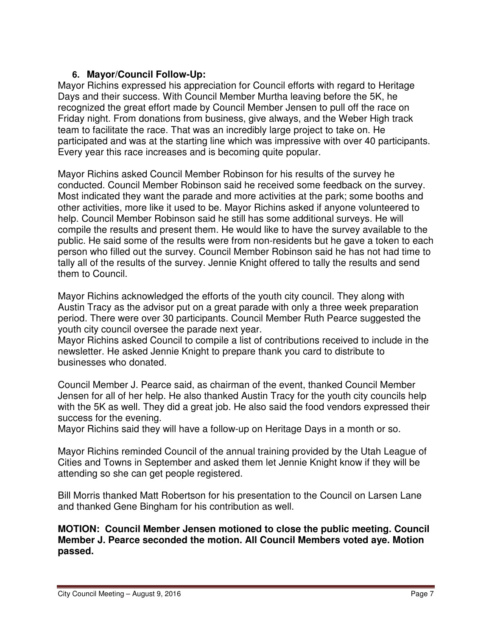# **6. Mayor/Council Follow-Up:**

Mayor Richins expressed his appreciation for Council efforts with regard to Heritage Days and their success. With Council Member Murtha leaving before the 5K, he recognized the great effort made by Council Member Jensen to pull off the race on Friday night. From donations from business, give always, and the Weber High track team to facilitate the race. That was an incredibly large project to take on. He participated and was at the starting line which was impressive with over 40 participants. Every year this race increases and is becoming quite popular.

Mayor Richins asked Council Member Robinson for his results of the survey he conducted. Council Member Robinson said he received some feedback on the survey. Most indicated they want the parade and more activities at the park; some booths and other activities, more like it used to be. Mayor Richins asked if anyone volunteered to help. Council Member Robinson said he still has some additional surveys. He will compile the results and present them. He would like to have the survey available to the public. He said some of the results were from non-residents but he gave a token to each person who filled out the survey. Council Member Robinson said he has not had time to tally all of the results of the survey. Jennie Knight offered to tally the results and send them to Council.

Mayor Richins acknowledged the efforts of the youth city council. They along with Austin Tracy as the advisor put on a great parade with only a three week preparation period. There were over 30 participants. Council Member Ruth Pearce suggested the youth city council oversee the parade next year.

Mayor Richins asked Council to compile a list of contributions received to include in the newsletter. He asked Jennie Knight to prepare thank you card to distribute to businesses who donated.

Council Member J. Pearce said, as chairman of the event, thanked Council Member Jensen for all of her help. He also thanked Austin Tracy for the youth city councils help with the 5K as well. They did a great job. He also said the food vendors expressed their success for the evening.

Mayor Richins said they will have a follow-up on Heritage Days in a month or so.

Mayor Richins reminded Council of the annual training provided by the Utah League of Cities and Towns in September and asked them let Jennie Knight know if they will be attending so she can get people registered.

Bill Morris thanked Matt Robertson for his presentation to the Council on Larsen Lane and thanked Gene Bingham for his contribution as well.

**MOTION: Council Member Jensen motioned to close the public meeting. Council Member J. Pearce seconded the motion. All Council Members voted aye. Motion passed.**